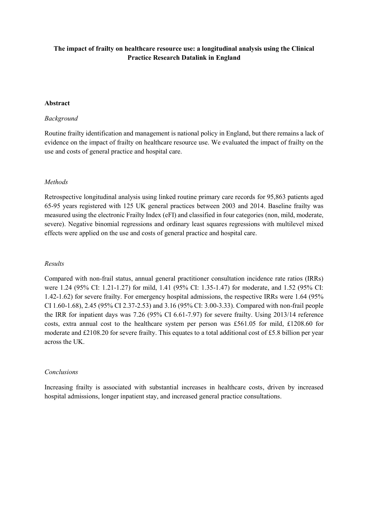# **The impact of frailty on healthcare resource use: a longitudinal analysis using the Clinical Practice Research Datalink in England**

#### **Abstract**

## *Background*

Routine frailty identification and management is national policy in England, but there remains a lack of evidence on the impact of frailty on healthcare resource use. We evaluated the impact of frailty on the use and costs of general practice and hospital care.

#### *Methods*

Retrospective longitudinal analysis using linked routine primary care records for 95,863 patients aged 65-95 years registered with 125 UK general practices between 2003 and 2014. Baseline frailty was measured using the electronic Frailty Index (eFI) and classified in four categories (non, mild, moderate, severe). Negative binomial regressions and ordinary least squares regressions with multilevel mixed effects were applied on the use and costs of general practice and hospital care.

#### *Results*

Compared with non-frail status, annual general practitioner consultation incidence rate ratios (IRRs) were 1.24 (95% CI: 1.21-1.27) for mild, 1.41 (95% CI: 1.35-1.47) for moderate, and 1.52 (95% CI: 1.42-1.62) for severe frailty. For emergency hospital admissions, the respective IRRs were 1.64 (95% CI 1.60-1.68), 2.45 (95% CI 2.37-2.53) and 3.16 (95% CI: 3.00-3.33). Compared with non-frail people the IRR for inpatient days was 7.26 (95% CI 6.61-7.97) for severe frailty. Using 2013/14 reference costs, extra annual cost to the healthcare system per person was £561.05 for mild, £1208.60 for moderate and £2108.20 for severe frailty. This equates to a total additional cost of £5.8 billion per year across the UK.

#### *Conclusions*

Increasing frailty is associated with substantial increases in healthcare costs, driven by increased hospital admissions, longer inpatient stay, and increased general practice consultations.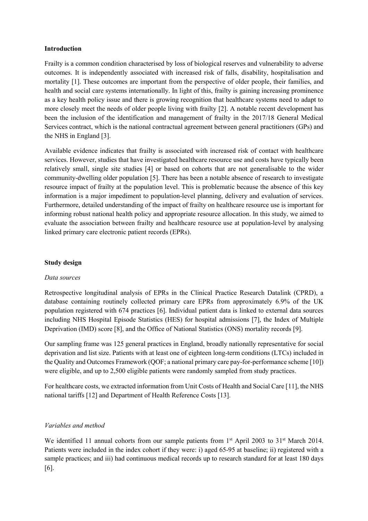#### **Introduction**

Frailty is a common condition characterised by loss of biological reserves and vulnerability to adverse outcomes. It is independently associated with increased risk of falls, disability, hospitalisation and mortality [1]. These outcomes are important from the perspective of older people, their families, and health and social care systems internationally. In light of this, frailty is gaining increasing prominence as a key health policy issue and there is growing recognition that healthcare systems need to adapt to more closely meet the needs of older people living with frailty [2]. A notable recent development has been the inclusion of the identification and management of frailty in the 2017/18 General Medical Services contract, which is the national contractual agreement between general practitioners (GPs) and the NHS in England [3].

Available evidence indicates that frailty is associated with increased risk of contact with healthcare services. However, studies that have investigated healthcare resource use and costs have typically been relatively small, single site studies [4] or based on cohorts that are not generalisable to the wider community-dwelling older population [5]. There has been a notable absence of research to investigate resource impact of frailty at the population level. This is problematic because the absence of this key information is a major impediment to population-level planning, delivery and evaluation of services. Furthermore, detailed understanding of the impact of frailty on healthcare resource use is important for informing robust national health policy and appropriate resource allocation. In this study, we aimed to evaluate the association between frailty and healthcare resource use at population-level by analysing linked primary care electronic patient records (EPRs).

## **Study design**

## *Data sources*

Retrospective longitudinal analysis of EPRs in the Clinical Practice Research Datalink (CPRD), a database containing routinely collected primary care EPRs from approximately 6.9% of the UK population registered with 674 practices [6]. Individual patient data is linked to external data sources including NHS Hospital Episode Statistics (HES) for hospital admissions [7], the Index of Multiple Deprivation (IMD) score [8], and the Office of National Statistics (ONS) mortality records [9].

Our sampling frame was 125 general practices in England, broadly nationally representative for social deprivation and list size. Patients with at least one of eighteen long-term conditions (LTCs) included in the Quality and Outcomes Framework (QOF; a national primary care pay-for-performance scheme [10]) were eligible, and up to 2,500 eligible patients were randomly sampled from study practices.

For healthcare costs, we extracted information from Unit Costs of Health and Social Care [11], the NHS national tariffs [12] and Department of Health Reference Costs [13].

## *Variables and method*

We identified 11 annual cohorts from our sample patients from 1<sup>st</sup> April 2003 to 31<sup>st</sup> March 2014. Patients were included in the index cohort if they were: i) aged 65-95 at baseline; ii) registered with a sample practices; and iii) had continuous medical records up to research standard for at least 180 days [6].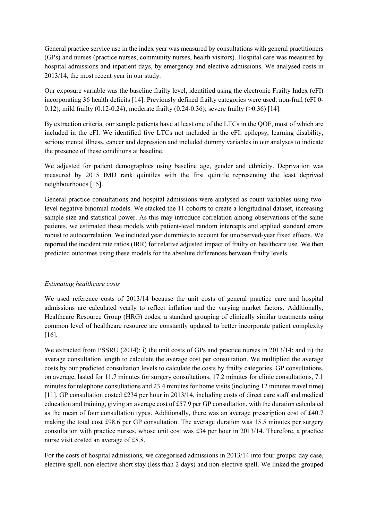General practice service use in the index year was measured by consultations with general practitioners (GPs) and nurses (practice nurses, community nurses, health visitors). Hospital care was measured by hospital admissions and inpatient days, by emergency and elective admissions. We analysed costs in 2013/14, the most recent year in our study.

Our exposure variable was the baseline frailty level, identified using the electronic Frailty Index (eFI) incorporating 36 health deficits [14]. Previously defined frailty categories were used: non-frail (eFI 0- 0.12); mild frailty (0.12-0.24); moderate frailty (0.24-0.36); severe frailty (>0.36) [14].

By extraction criteria, our sample patients have at least one of the LTCs in the QOF, most of which are included in the eFI. We identified five LTCs not included in the eFI: epilepsy, learning disability, serious mental illness, cancer and depression and included dummy variables in our analyses to indicate the presence of these conditions at baseline.

We adjusted for patient demographics using baseline age, gender and ethnicity. Deprivation was measured by 2015 IMD rank quintiles with the first quintile representing the least deprived neighbourhoods [15].

General practice consultations and hospital admissions were analysed as count variables using twolevel negative binomial models. We stacked the 11 cohorts to create a longitudinal dataset, increasing sample size and statistical power. As this may introduce correlation among observations of the same patients, we estimated these models with patient-level random intercepts and applied standard errors robust to autocorrelation. We included year dummies to account for unobserved-year fixed effects. We reported the incident rate ratios (IRR) for relative adjusted impact of frailty on healthcare use. We then predicted outcomes using these models for the absolute differences between frailty levels.

# *Estimating healthcare costs*

We used reference costs of 2013/14 because the unit costs of general practice care and hospital admissions are calculated yearly to reflect inflation and the varying market factors. Additionally, Healthcare Resource Group (HRG) codes, a standard grouping of clinically similar treatments using common level of healthcare resource are constantly updated to better incorporate patient complexity [16].

We extracted from PSSRU (2014): i) the unit costs of GPs and practice nurses in 2013/14; and ii) the average consultation length to calculate the average cost per consultation. We multiplied the average costs by our predicted consultation levels to calculate the costs by frailty categories. GP consultations, on average, lasted for 11.7 minutes for surgery consultations, 17.2 minutes for clinic consultations, 7.1 minutes for telephone consultations and 23.4 minutes for home visits (including 12 minutes travel time) [11]. GP consultation costed £234 per hour in 2013/14, including costs of direct care staff and medical education and training, giving an average cost of £57.9 per GP consultation, with the duration calculated as the mean of four consultation types. Additionally, there was an average prescription cost of £40.7 making the total cost £98.6 per GP consultation. The average duration was 15.5 minutes per surgery consultation with practice nurses, whose unit cost was £34 per hour in 2013/14. Therefore, a practice nurse visit costed an average of £8.8.

For the costs of hospital admissions, we categorised admissions in 2013/14 into four groups: day case, elective spell, non-elective short stay (less than 2 days) and non-elective spell. We linked the grouped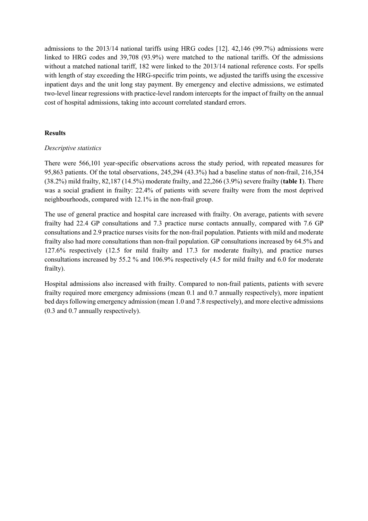admissions to the 2013/14 national tariffs using HRG codes [12]. 42,146 (99.7%) admissions were linked to HRG codes and 39,708 (93.9%) were matched to the national tariffs. Of the admissions without a matched national tariff, 182 were linked to the 2013/14 national reference costs. For spells with length of stay exceeding the HRG-specific trim points, we adjusted the tariffs using the excessive inpatient days and the unit long stay payment. By emergency and elective admissions, we estimated two-level linear regressions with practice-level random intercepts for the impact of frailty on the annual cost of hospital admissions, taking into account correlated standard errors.

## **Results**

## *Descriptive statistics*

There were 566,101 year-specific observations across the study period, with repeated measures for 95,863 patients. Of the total observations, 245,294 (43.3%) had a baseline status of non-frail, 216,354 (38.2%) mild frailty, 82,187 (14.5%) moderate frailty, and 22,266 (3.9%) severe frailty (**table 1**). There was a social gradient in frailty: 22.4% of patients with severe frailty were from the most deprived neighbourhoods, compared with 12.1% in the non-frail group.

The use of general practice and hospital care increased with frailty. On average, patients with severe frailty had 22.4 GP consultations and 7.3 practice nurse contacts annually, compared with 7.6 GP consultations and 2.9 practice nurses visits for the non-frail population. Patients with mild and moderate frailty also had more consultations than non-frail population. GP consultations increased by 64.5% and 127.6% respectively (12.5 for mild frailty and 17.3 for moderate frailty), and practice nurses consultations increased by 55.2 % and 106.9% respectively (4.5 for mild frailty and 6.0 for moderate frailty).

Hospital admissions also increased with frailty. Compared to non-frail patients, patients with severe frailty required more emergency admissions (mean 0.1 and 0.7 annually respectively), more inpatient bed days following emergency admission (mean 1.0 and 7.8 respectively), and more elective admissions (0.3 and 0.7 annually respectively).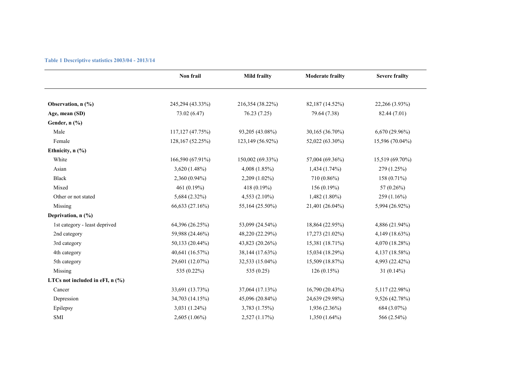|  | Table 1 Descriptive statistics 2003/04 - 2013/14 |  |  |  |
|--|--------------------------------------------------|--|--|--|
|--|--------------------------------------------------|--|--|--|

|                                   | Non frail        | <b>Mild frailty</b> | <b>Moderate frailty</b> | <b>Severe frailty</b> |
|-----------------------------------|------------------|---------------------|-------------------------|-----------------------|
|                                   |                  |                     |                         |                       |
| Observation, n (%)                | 245,294 (43.33%) | 216,354 (38.22%)    | 82,187 (14.52%)         | 22,266 (3.93%)        |
| Age, mean (SD)                    | 73.02 (6.47)     | 76.23 (7.25)        | 79.64 (7.38)            | 82.44 (7.01)          |
| Gender, n (%)                     |                  |                     |                         |                       |
| Male                              | 117,127 (47.75%) | 93,205 (43.08%)     | 30,165 (36.70%)         | $6,670(29.96\%)$      |
| Female                            | 128,167 (52.25%) | 123,149 (56.92%)    | 52,022 (63.30%)         | 15,596 (70.04%)       |
| Ethnicity, n (%)                  |                  |                     |                         |                       |
| White                             | 166,590 (67.91%) | 150,002 (69.33%)    | 57,004 (69.36%)         | 15,519 (69.70%)       |
| Asian                             | 3,620 (1.48%)    | $4,008$ $(1.85\%)$  | $1,434(1.74\%)$         | 279 (1.25%)           |
| Black                             | 2,360 (0.94%)    | 2,209 (1.02%)       | 710 (0.86%)             | 158 (0.71%)           |
| Mixed                             | 461 (0.19%)      | 418 (0.19%)         | 156 (0.19%)             | 57 (0.26%)            |
| Other or not stated               | 5,684 (2.32%)    | 4,553 $(2.10\%)$    | $1,482(1.80\%)$         | 259(1.16%)            |
| Missing                           | 66,633 (27.16%)  | 55,164 (25.50%)     | 21,401 (26.04%)         | 5,994 (26.92%)        |
| Deprivation, $n$ (%)              |                  |                     |                         |                       |
| 1st category - least deprived     | 64,396 (26.25%)  | 53,099 (24.54%)     | 18,864 (22.95%)         | 4,886 (21.94%)        |
| 2nd category                      | 59,988 (24.46%)  | 48,220 (22.29%)     | 17,273 (21.02%)         | 4,149 (18.63%)        |
| 3rd category                      | 50,133 (20.44%)  | 43,823 (20.26%)     | 15,381 (18.71%)         | 4,070 (18.28%)        |
| 4th category                      | 40,641 (16.57%)  | 38,144 (17.63%)     | 15,034 (18.29%)         | 4,137 (18.58%)        |
| 5th category                      | 29,601 (12.07%)  | 32,533 (15.04%)     | 15,509 (18.87%)         | 4,993 (22.42%)        |
| Missing                           | 535 (0.22%)      | 535 (0.25)          | 126(0.15%)              | 31 $(0.14\%)$         |
| LTCs not included in eFI, $n$ (%) |                  |                     |                         |                       |
| Cancer                            | 33,691 (13.73%)  | 37,064 (17.13%)     | 16,790 (20.43%)         | 5,117 (22.98%)        |
| Depression                        | 34,703 (14.15%)  | 45,096 (20.84%)     | 24,639 (29.98%)         | 9,526 (42.78%)        |
| Epilepsy                          | $3,031(1.24\%)$  | 3,783 (1.75%)       | $1,936(2.36\%)$         | 684 (3.07%)           |
| SMI                               | 2,605 (1.06%)    | 2,527 (1.17%)       | $1,350(1.64\%)$         | 566 (2.54%)           |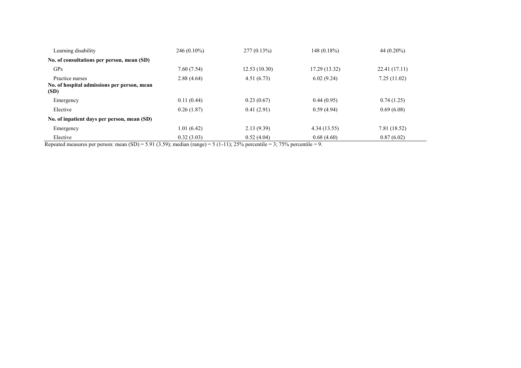| Learning disability                                 | 246 (0.10%) | $277(0.13\%)$ | $148(0.18\%)$ | 44 $(0.20\%)$ |
|-----------------------------------------------------|-------------|---------------|---------------|---------------|
| No. of consultations per person, mean (SD)          |             |               |               |               |
| <b>GPs</b>                                          | 7.60(7.54)  | 12.53(10.30)  | 17.29 (13.32) | 22.41 (17.11) |
| Practice nurses                                     | 2.88(4.64)  | 4.51(6.73)    | 6.02(9.24)    | 7.25(11.02)   |
| No. of hospital admissions per person, mean<br>(SD) |             |               |               |               |
| Emergency                                           | 0.11(0.44)  | 0.23(0.67)    | 0.44(0.95)    | 0.74(1.25)    |
| Elective                                            | 0.26(1.87)  | 0.41(2.91)    | 0.59(4.94)    | 0.69(6.08)    |
| No. of inpatient days per person, mean (SD)         |             |               |               |               |
| Emergency                                           | 1.01 (6.42) | 2.13(9.39)    | 4.34 (13.55)  | 7.81 (18.52)  |
| Elective                                            | 0.32(3.03)  | 0.52(4.04)    | 0.68(4.60)    | 0.87(6.02)    |

Repeated measures per person: mean  $(SD) = 5.91 (3.59)$ ; median (range) = 5 (1-11); 25% percentile = 3; 75% percentile = 9.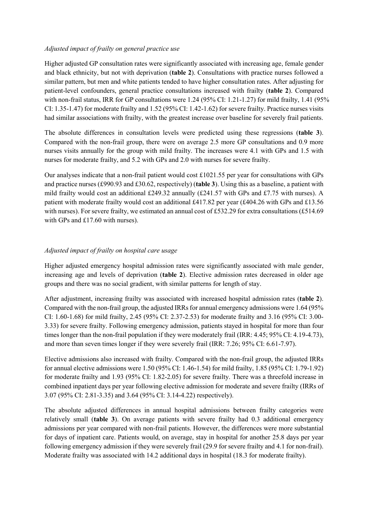## *Adjusted impact of frailty on general practice use*

Higher adjusted GP consultation rates were significantly associated with increasing age, female gender and black ethnicity, but not with deprivation (**table 2**). Consultations with practice nurses followed a similar pattern, but men and white patients tended to have higher consultation rates. After adjusting for patient-level confounders, general practice consultations increased with frailty (**table 2**). Compared with non-frail status, IRR for GP consultations were 1.24 (95% CI: 1.21-1.27) for mild frailty, 1.41 (95% CI: 1.35-1.47) for moderate frailty and 1.52 (95% CI: 1.42-1.62) for severe frailty. Practice nurses visits had similar associations with frailty, with the greatest increase over baseline for severely frail patients.

The absolute differences in consultation levels were predicted using these regressions (**table 3**). Compared with the non-frail group, there were on average 2.5 more GP consultations and 0.9 more nurses visits annually for the group with mild frailty. The increases were 4.1 with GPs and 1.5 with nurses for moderate frailty, and 5.2 with GPs and 2.0 with nurses for severe frailty.

Our analyses indicate that a non-frail patient would cost  $\pounds1021.55$  per year for consultations with GPs and practice nurses (£990.93 and £30.62, respectively) (**table 3**). Using this as a baseline, a patient with mild frailty would cost an additional £249.32 annually (£241.57 with GPs and £7.75 with nurses). A patient with moderate frailty would cost an additional £417.82 per year (£404.26 with GPs and £13.56 with nurses). For severe frailty, we estimated an annual cost of £532.29 for extra consultations (£514.69) with GPs and £17.60 with nurses).

# *Adjusted impact of frailty on hospital care usage*

Higher adjusted emergency hospital admission rates were significantly associated with male gender, increasing age and levels of deprivation (**table 2**). Elective admission rates decreased in older age groups and there was no social gradient, with similar patterns for length of stay.

After adjustment, increasing frailty was associated with increased hospital admission rates (**table 2**). Compared with the non-frail group, the adjusted IRRs for annual emergency admissions were 1.64 (95% CI: 1.60-1.68) for mild frailty, 2.45 (95% CI: 2.37-2.53) for moderate frailty and 3.16 (95% CI: 3.00- 3.33) for severe frailty. Following emergency admission, patients stayed in hospital for more than four times longer than the non-frail population if they were moderately frail (IRR: 4.45; 95% CI: 4.19-4.73), and more than seven times longer if they were severely frail (IRR: 7.26; 95% CI: 6.61-7.97).

Elective admissions also increased with frailty. Compared with the non-frail group, the adjusted IRRs for annual elective admissions were 1.50 (95% CI: 1.46-1.54) for mild frailty, 1.85 (95% CI: 1.79-1.92) for moderate frailty and 1.93 (95% CI: 1.82-2.05) for severe frailty. There was a threefold increase in combined inpatient days per year following elective admission for moderate and severe frailty (IRRs of 3.07 (95% CI: 2.81-3.35) and 3.64 (95% CI: 3.14-4.22) respectively).

The absolute adjusted differences in annual hospital admissions between frailty categories were relatively small (**table 3**). On average patients with severe frailty had 0.3 additional emergency admissions per year compared with non-frail patients. However, the differences were more substantial for days of inpatient care. Patients would, on average, stay in hospital for another 25.8 days per year following emergency admission if they were severely frail (29.9 for severe frailty and 4.1 for non-frail). Moderate frailty was associated with 14.2 additional days in hospital (18.3 for moderate frailty).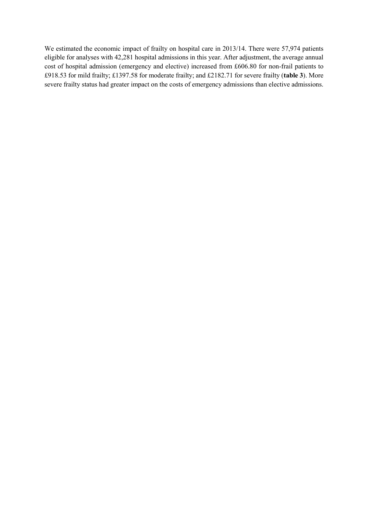We estimated the economic impact of frailty on hospital care in 2013/14. There were 57,974 patients eligible for analyses with 42,281 hospital admissions in this year. After adjustment, the average annual cost of hospital admission (emergency and elective) increased from £606.80 for non-frail patients to £918.53 for mild frailty; £1397.58 for moderate frailty; and £2182.71 for severe frailty (**table 3**). More severe frailty status had greater impact on the costs of emergency admissions than elective admissions.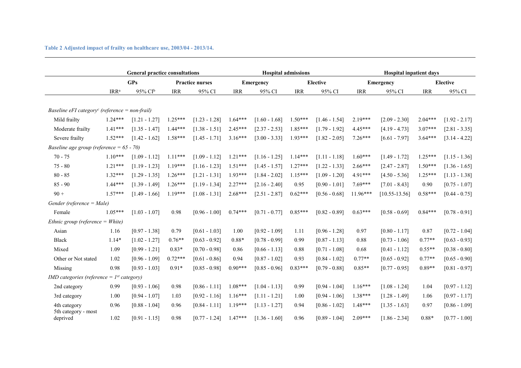**Table 2 Adjusted impact of frailty on healthcare use, 2003/04 - 2013/14.**

|                                                                  | <b>General practice consultations</b> |                        |            |                        |            | <b>Hospital admissions</b> |                 | <b>Hospital inpatient days</b> |                  |                   |            |                 |
|------------------------------------------------------------------|---------------------------------------|------------------------|------------|------------------------|------------|----------------------------|-----------------|--------------------------------|------------------|-------------------|------------|-----------------|
|                                                                  | <b>GPs</b>                            |                        |            | <b>Practice nurses</b> |            | Emergency                  | <b>Elective</b> |                                | <b>Emergency</b> |                   |            | <b>Elective</b> |
|                                                                  | IRR <sup>a</sup>                      | $95\%$ CI <sup>b</sup> | <b>IRR</b> | 95% CI                 | <b>IRR</b> | 95% CI                     | <b>IRR</b>      | 95% CI                         | <b>IRR</b>       | 95% CI            | <b>IRR</b> | 95% CI          |
|                                                                  |                                       |                        |            |                        |            |                            |                 |                                |                  |                   |            |                 |
| <i>Baseline eFI category<sup>c</sup> (reference = non-frail)</i> |                                       |                        |            |                        |            |                            |                 |                                |                  |                   |            |                 |
| Mild frailty                                                     | $1.24***$                             | $[1.21 - 1.27]$        | $1.25***$  | $[1.23 - 1.28]$        | $1.64***$  | $[1.60 - 1.68]$            | $1.50***$       | $[1.46 - 1.54]$                | $2.19***$        | $[2.09 - 2.30]$   | $2.04***$  | $[1.92 - 2.17]$ |
| Moderate frailty                                                 | $1.41***$                             | $[1.35 - 1.47]$        | $1.44***$  | $[1.38 - 1.51]$        | $2.45***$  | $[2.37 - 2.53]$            | $1.85***$       | $[1.79 - 1.92]$                | $4.45***$        | $[4.19 - 4.73]$   | $3.07***$  | $[2.81 - 3.35]$ |
| Severe frailty                                                   | $1.52***$                             | $[1.42 - 1.62]$        | $1.58***$  | $[1.45 - 1.71]$        | $3.16***$  | $[3.00 - 3.33]$            | $1.93***$       | $[1.82 - 2.05]$                | $7.26***$        | $[6.61 - 7.97]$   | $3.64***$  | $[3.14 - 4.22]$ |
| Baseline age group (reference = $65 - 70$ )                      |                                       |                        |            |                        |            |                            |                 |                                |                  |                   |            |                 |
| $70 - 75$                                                        | $1.10***$                             | $[1.09 - 1.12]$        | $1.11***$  | $[1.09 - 1.12]$        | $1.21***$  | $[1.16 - 1.25]$            | $1.14***$       | $[1.11 - 1.18]$                | $1.60***$        | $[1.49 - 1.72]$   | $1.25***$  | $[1.15 - 1.36]$ |
| $75 - 80$                                                        | $1.21***$                             | $[1.19 - 1.23]$        | $1.19***$  | $[1.16 - 1.23]$        | $1.51***$  | $[1.45 - 1.57]$            | $1.27***$       | $[1.22 - 1.33]$                | $2.66***$        | $[2.47 - 2.87]$   | $1.50***$  | $[1.36 - 1.65]$ |
| $80 - 85$                                                        | $1.32***$                             | $[1.29 - 1.35]$        | $1.26***$  | $[1.21 - 1.31]$        | $1.93***$  | $[1.84 - 2.02]$            | $1.15***$       | $[1.09 - 1.20]$                | 4.91***          | $[4.50 - 5.36]$   | $1.25***$  | $[1.13 - 1.38]$ |
| $85 - 90$                                                        | $1.44***$                             | $[1.39 - 1.49]$        | $1.26***$  | $[1.19 - 1.34]$        | $2.27***$  | $[2.16 - 2.40]$            | 0.95            | $[0.90 - 1.01]$                | $7.69***$        | $[7.01 - 8.43]$   | 0.90       | $[0.75 - 1.07]$ |
| $90 +$                                                           | $1.57***$                             | $[1.49 - 1.66]$        | $1.19***$  | $[1.08 - 1.31]$        | $2.68***$  | $[2.51 - 2.87]$            | $0.62***$       | $[0.56 - 0.68]$                | $11.96***$       | $[10.55 - 13.56]$ | $0.58***$  | $[0.44 - 0.75]$ |
| Gender (reference = Male)                                        |                                       |                        |            |                        |            |                            |                 |                                |                  |                   |            |                 |
| Female                                                           | $1.05***$                             | $[1.03 - 1.07]$        | 0.98       | $[0.96 - 1.00]$        | $0.74***$  | $[0.71 - 0.77]$            | $0.85***$       | $[0.82 - 0.89]$                | $0.63***$        | $[0.58 - 0.69]$   | $0.84***$  | $[0.78 - 0.91]$ |
| Ethnic group (reference = $White$ )                              |                                       |                        |            |                        |            |                            |                 |                                |                  |                   |            |                 |
| Asian                                                            | 1.16                                  | $[0.97 - 1.38]$        | 0.79       | $[0.61 - 1.03]$        | 1.00       | $[0.92 - 1.09]$            | 1.11            | $[0.96 - 1.28]$                | 0.97             | $[0.80 - 1.17]$   | 0.87       | $[0.72 - 1.04]$ |
| <b>Black</b>                                                     | $1.14*$                               | $[1.02 - 1.27]$        | $0.76**$   | $[0.63 - 0.92]$        | $0.88*$    | $[0.78 - 0.99]$            | 0.99            | $[0.87 - 1.13]$                | 0.88             | $[0.73 - 1.06]$   | $0.77**$   | $[0.63 - 0.93]$ |
| Mixed                                                            | 1.09                                  | $[0.99 - 1.21]$        | $0.83*$    | $[0.70 - 0.98]$        | 0.86       | $[0.66 - 1.13]$            | 0.88            | $[0.71 - 1.08]$                | 0.68             | $[0.41 - 1.12]$   | $0.55**$   | $[0.38 - 0.80]$ |
| Other or Not stated                                              | 1.02                                  | $[0.96 - 1.09]$        | $0.72***$  | $[0.61 - 0.86]$        | 0.94       | $[0.87 - 1.02]$            | 0.93            | $[0.84 - 1.02]$                | $0.77**$         | $[0.65 - 0.92]$   | $0.77**$   | $[0.65 - 0.90]$ |
| Missing                                                          | 0.98                                  | $[0.93 - 1.03]$        | $0.91*$    | $[0.85 - 0.98]$        | $0.90***$  | $[0.85 - 0.96]$            | $0.83***$       | $[0.79 - 0.88]$                | $0.85**$         | $[0.77 - 0.95]$   | $0.89**$   | $[0.81 - 0.97]$ |
| IMD categories (reference = $1^{st}$ category)                   |                                       |                        |            |                        |            |                            |                 |                                |                  |                   |            |                 |
| 2nd category                                                     | 0.99                                  | $[0.93 - 1.06]$        | 0.98       | $[0.86 - 1.11]$        | $1.08***$  | $[1.04 - 1.13]$            | 0.99            | $[0.94 - 1.04]$                | $1.16***$        | $[1.08 - 1.24]$   | 1.04       | $[0.97 - 1.12]$ |
| 3rd category                                                     | 1.00                                  | $[0.94 - 1.07]$        | 1.03       | $[0.92 - 1.16]$        | $1.16***$  | $[1.11 - 1.21]$            | 1.00            | $[0.94 - 1.06]$                | $1.38***$        | $[1.28 - 1.49]$   | 1.06       | $[0.97 - 1.17]$ |
| 4th category                                                     | 0.96                                  | $[0.88 - 1.04]$        | 0.96       | $[0.84 - 1.11]$        | $1.19***$  | $[1.13 - 1.27]$            | 0.94            | $[0.86 - 1.02]$                | $1.48***$        | $[1.35 - 1.63]$   | 0.97       | $[0.86 - 1.09]$ |
| 5th category - most<br>deprived                                  | 1.02                                  | $[0.91 - 1.15]$        | 0.98       | $[0.77 - 1.24]$        | $1.47***$  | $[1.36 - 1.60]$            | 0.96            | $[0.89 - 1.04]$                | $2.09***$        | $[1.86 - 2.34]$   | $0.88*$    | $[0.77 - 1.00]$ |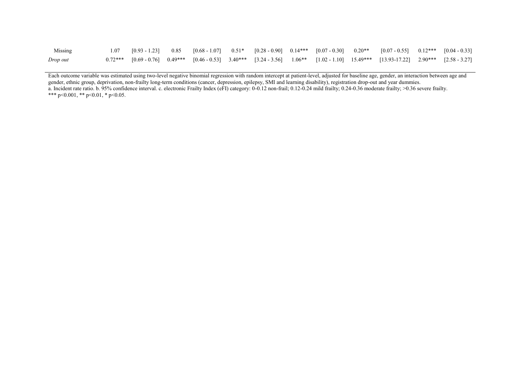| Missing  |  |  |  |  | $1.07$ $[0.93 - 1.23]$ $0.85$ $[0.68 - 1.07]$ $0.51*$ $[0.28 - 0.90]$ $0.14***$ $[0.07 - 0.30]$ $0.20**$ $[0.07 - 0.55]$ $0.12***$ $[0.04 - 0.33]$          |  |
|----------|--|--|--|--|-------------------------------------------------------------------------------------------------------------------------------------------------------------|--|
| Drop out |  |  |  |  | $0.72***$ $[0.69 - 0.76]$ $0.49***$ $[0.46 - 0.53]$ $3.40***$ $[3.24 - 3.56]$ $1.06**$ $[1.02 - 1.10]$ $15.49***$ $[13.93-17.22]$ $2.90***$ $[2.58 - 3.27]$ |  |

Each outcome variable was estimated using two-level negative binomial regression with random intercept at patient-level, adjusted for baseline age, gender, an interaction between age and gender, ethnic group, deprivation, non-frailty long-term conditions (cancer, depression, epilepsy, SMI and learning disability), registration drop-out and year dummies. a. Incident rate ratio. b. 95% confidence interval. c. electronic Frailty Index (eFI) category: 0-0.12 non-frail; 0.12-0.24 mild frailty; 0.24-0.36 moderate frailty; >0.36 severe frailty. \*\*\* p<0.001, \*\* p<0.01, \* p<0.05.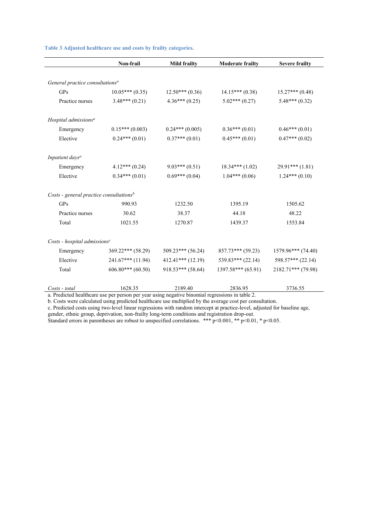|                                             | Non-frail             | <b>Mild frailty</b> | <b>Moderate frailty</b> | <b>Severe frailty</b> |
|---------------------------------------------|-----------------------|---------------------|-------------------------|-----------------------|
|                                             |                       |                     |                         |                       |
| General practice consultations <sup>a</sup> |                       |                     |                         |                       |
| GP <sub>S</sub>                             | $10.05***(0.35)$      | $12.50***(0.36)$    | $14.15***(0.38)$        | $15.27***(0.48)$      |
| Practice nurses                             | $3.48***(0.21)$       | $4.36***(0.25)$     | $5.02***(0.27)$         | $5.48***(0.32)$       |
| Hospital admissions <sup>a</sup>            |                       |                     |                         |                       |
| Emergency                                   | $0.15***(0.003)$      | $0.24***(0.005)$    | $0.36***(0.01)$         | $0.46***(0.01)$       |
| Elective                                    | $0.24***(0.01)$       | $0.37***(0.01)$     | $0.45***(0.01)$         | $0.47***(0.02)$       |
| Inpatient days <sup>a</sup>                 |                       |                     |                         |                       |
| Emergency                                   | $4.12***(0.24)$       | $9.03***(0.51)$     | $18.34***(1.02)$        | $29.91***(1.81)$      |
| Elective                                    | $0.34***(0.01)$       | $0.69***(0.04)$     | $1.04***(0.06)$         | $1.24***(0.10)$       |
| Costs - general practice consultations $b$  |                       |                     |                         |                       |
| GP <sub>S</sub>                             | 990.93                | 1232.50             | 1395.19                 | 1505.62               |
| Practice nurses                             | 30.62                 | 38.37               | 44.18                   | 48.22                 |
| Total                                       | 1021.55               | 1270.87             | 1439.37                 | 1553.84               |
| Costs - hospital admissions $c$             |                       |                     |                         |                       |
| Emergency                                   | $369.22***$ (58.29)   | $509.23***$ (56.24) | $857.73***$ (59.23)     | 1579.96*** (74.40)    |
| Elective                                    | $241.67***$ (11.94)   | $412.41***$ (12.19) | $539.83***$ (22.14)     | $598.57***$ (22.14)   |
| Total                                       | $606.80***$ $(60.50)$ | $918.53***$ (58.64) | $1397.58***$ (65.91)    | $2182.71***$ (79.98)  |
| Costs - total                               | 1628.35               | 2189.40             | 2836.95                 | 3736.55               |

**Table 3 Adjusted healthcare use and costs by frailty categories.**

a. Predicted healthcare use per person per year using negative binomial regressions in table 2.

b. Costs were calculated using predicted healthcare use multiplied by the average cost per consultation.

c. Predicted costs using two-level linear regressions with random intercept at practice-level, adjusted for baseline age,

gender, ethnic group, deprivation, non-frailty long-term conditions and registration drop-out.

Standard errors in parentheses are robust to unspecified correlations. \*\*\*  $p<0.001$ , \*\*  $p<0.01$ , \*  $p<0.05$ .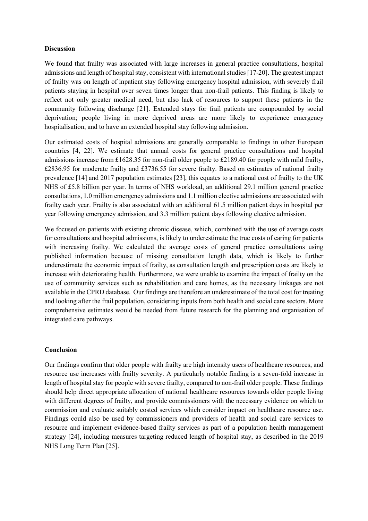## **Discussion**

We found that frailty was associated with large increases in general practice consultations, hospital admissions and length of hospital stay, consistent with international studies [17-20]. The greatest impact of frailty was on length of inpatient stay following emergency hospital admission, with severely frail patients staying in hospital over seven times longer than non-frail patients. This finding is likely to reflect not only greater medical need, but also lack of resources to support these patients in the community following discharge [21]. Extended stays for frail patients are compounded by social deprivation; people living in more deprived areas are more likely to experience emergency hospitalisation, and to have an extended hospital stay following admission.

Our estimated costs of hospital admissions are generally comparable to findings in other European countries [4, 22]. We estimate that annual costs for general practice consultations and hospital admissions increase from £1628.35 for non-frail older people to £2189.40 for people with mild frailty, £2836.95 for moderate frailty and £3736.55 for severe frailty. Based on estimates of national frailty prevalence [14] and 2017 population estimates [23], this equates to a national cost of frailty to the UK NHS of £5.8 billion per year. In terms of NHS workload, an additional 29.1 million general practice consultations, 1.0 million emergency admissions and 1.1 million elective admissions are associated with frailty each year. Frailty is also associated with an additional 61.5 million patient days in hospital per year following emergency admission, and 3.3 million patient days following elective admission.

We focused on patients with existing chronic disease, which, combined with the use of average costs for consultations and hospital admissions, is likely to underestimate the true costs of caring for patients with increasing frailty. We calculated the average costs of general practice consultations using published information because of missing consultation length data, which is likely to further underestimate the economic impact of frailty, as consultation length and prescription costs are likely to increase with deteriorating health. Furthermore, we were unable to examine the impact of frailty on the use of community services such as rehabilitation and care homes, as the necessary linkages are not available in the CPRD database. Our findings are therefore an underestimate of the total cost for treating and looking after the frail population, considering inputs from both health and social care sectors. More comprehensive estimates would be needed from future research for the planning and organisation of integrated care pathways.

## **Conclusion**

Our findings confirm that older people with frailty are high intensity users of healthcare resources, and resource use increases with frailty severity. A particularly notable finding is a seven-fold increase in length of hospital stay for people with severe frailty, compared to non-frail older people. These findings should help direct appropriate allocation of national healthcare resources towards older people living with different degrees of frailty, and provide commissioners with the necessary evidence on which to commission and evaluate suitably costed services which consider impact on healthcare resource use. Findings could also be used by commissioners and providers of health and social care services to resource and implement evidence-based frailty services as part of a population health management strategy [24], including measures targeting reduced length of hospital stay, as described in the 2019 NHS Long Term Plan [25].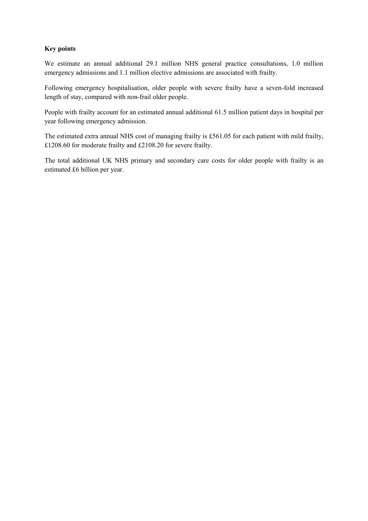# **Key points**

We estimate an annual additional 29.1 million NHS general practice consultations, 1.0 million emergency admissions and 1.1 million elective admissions are associated with frailty.

Following emergency hospitalisation, older people with severe frailty have a seven-fold increased length of stay, compared with non-frail older people.

People with frailty account for an estimated annual additional 61.5 million patient days in hospital per year following emergency admission.

The estimated extra annual NHS cost of managing frailty is £561.05 for each patient with mild frailty, £1208.60 for moderate frailty and £2108.20 for severe frailty.

The total additional UK NHS primary and secondary care costs for older people with frailty is an estimated £6 billion per year.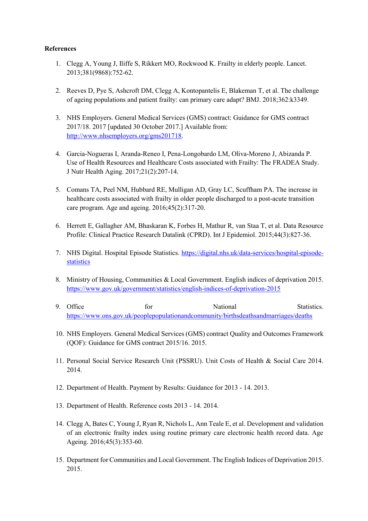## **References**

- 1. Clegg A, Young J, Iliffe S, Rikkert MO, Rockwood K. Frailty in elderly people. Lancet. 2013;381(9868):752-62.
- 2. Reeves D, Pye S, Ashcroft DM, Clegg A, Kontopantelis E, Blakeman T, et al. The challenge of ageing populations and patient frailty: can primary care adapt? BMJ. 2018;362:k3349.
- 3. NHS Employers. General Medical Services (GMS) contract: Guidance for GMS contract 2017/18. 2017 [updated 30 October 2017.] Available from: [http://www.nhsemployers.org/gms201718.](http://www.nhsemployers.org/gms201718)
- 4. Garcia-Nogueras I, Aranda-Reneo I, Pena-Longobardo LM, Oliva-Moreno J, Abizanda P. Use of Health Resources and Healthcare Costs associated with Frailty: The FRADEA Study. J Nutr Health Aging. 2017;21(2):207-14.
- 5. Comans TA, Peel NM, Hubbard RE, Mulligan AD, Gray LC, Scuffham PA. The increase in healthcare costs associated with frailty in older people discharged to a post-acute transition care program. Age and ageing. 2016;45(2):317-20.
- 6. Herrett E, Gallagher AM, Bhaskaran K, Forbes H, Mathur R, van Staa T, et al. Data Resource Profile: Clinical Practice Research Datalink (CPRD). Int J Epidemiol. 2015;44(3):827-36.
- 7. NHS Digital. Hospital Episode Statistics. [https://digital.nhs.uk/data-services/hospital-episode](https://digital.nhs.uk/data-services/hospital-episode-statistics)[statistics](https://digital.nhs.uk/data-services/hospital-episode-statistics)
- 8. Ministry of Housing, Communities & Local Government. English indices of deprivation 2015. <https://www.gov.uk/government/statistics/english-indices-of-deprivation-2015>
- 9. Office for has National Statistics. <https://www.ons.gov.uk/peoplepopulationandcommunity/birthsdeathsandmarriages/deaths>
- 10. NHS Employers. General Medical Services (GMS) contract Quality and Outcomes Framework (QOF): Guidance for GMS contract 2015/16. 2015.
- 11. Personal Social Service Research Unit (PSSRU). Unit Costs of Health & Social Care 2014. 2014.
- 12. Department of Health. Payment by Results: Guidance for 2013 14. 2013.
- 13. Department of Health. Reference costs 2013 14. 2014.
- 14. Clegg A, Bates C, Young J, Ryan R, Nichols L, Ann Teale E, et al. Development and validation of an electronic frailty index using routine primary care electronic health record data. Age Ageing. 2016;45(3):353-60.
- 15. Department for Communities and Local Government. The English Indices of Deprivation 2015. 2015.